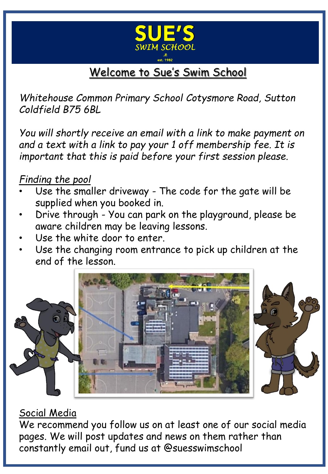

# Welcome to Sue's Swim School

*Whitehouse Common Primary School Cotysmore Road, Sutton Coldfield B75 6BL*

*You will shortly receive an email with a link to make payment on and a text with a link to pay your 1 off membership fee. It is important that this is paid before your first session please.*

# *Finding the pool*

- Use the smaller driveway The code for the gate will be supplied when you booked in.
- Drive through You can park on the playground, please be aware children may be leaving lessons.
- Use the white door to enter.
- Use the changing room entrance to pick up children at the end of the lesson.





# Social Media

We recommend you follow us on at least one of our social media pages. We will post updates and news on them rather than constantly email out, fund us at @suesswimschool